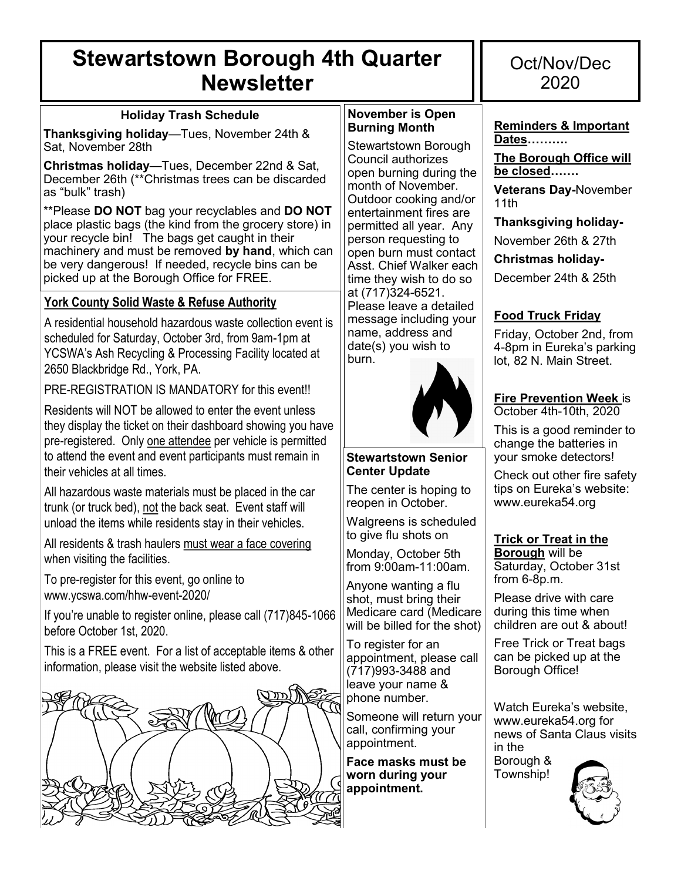## **Stewartstown Borough 4th Quarter Newsletter**

#### **Holiday Trash Schedule**

**Thanksgiving holiday**—Tues, November 24th & Sat, November 28th

**Christmas holiday**—Tues, December 22nd & Sat, December 26th (\*\*Christmas trees can be discarded as "bulk" trash)

\*\*Please **DO NOT** bag your recyclables and **DO NOT**  place plastic bags (the kind from the grocery store) in your recycle bin! The bags get caught in their machinery and must be removed **by hand**, which can be very dangerous! If needed, recycle bins can be picked up at the Borough Office for FREE.

#### **York County Solid Waste & Refuse Authority**

A residential household hazardous waste collection event is scheduled for Saturday, October 3rd, from 9am-1pm at YCSWA's Ash Recycling & Processing Facility located at 2650 Blackbridge Rd., York, PA.

PRE-REGISTRATION IS MANDATORY for this event!!

Residents will NOT be allowed to enter the event unless they display the ticket on their dashboard showing you have pre-registered. Only one attendee per vehicle is permitted to attend the event and event participants must remain in their vehicles at all times.

All hazardous waste materials must be placed in the car trunk (or truck bed), not the back seat. Event staff will unload the items while residents stay in their vehicles.

All residents & trash haulers must wear a face covering when visiting the facilities.

To pre-register for this event, go online to www.ycswa.com/hhw-event-2020/

If you're unable to register online, please call (717)845-1066 before October 1st, 2020.

This is a FREE event. For a list of acceptable items & other information, please visit the website listed above.



#### **November is Open Burning Month**

Stewartstown Borough Council authorizes open burning during the month of November. Outdoor cooking and/or entertainment fires are permitted all year. Any person requesting to open burn must contact Asst. Chief Walker each time they wish to do so at (717)324-6521. Please leave a detailed message including your name, address and date(s) you wish to burn.



#### **Stewartstown Senior Center Update**

The center is hoping to reopen in October.

Walgreens is scheduled to give flu shots on

Monday, October 5th from 9:00am-11:00am.

Anyone wanting a flu shot, must bring their Medicare card (Medicare will be billed for the shot)

To register for an appointment, please call (717)993-3488 and leave your name & phone number.

Someone will return your call, confirming your appointment.

**Face masks must be worn during your appointment.** 

### Oct/Nov/Dec 2020

**Reminders & Important Dates……….**

**The Borough Office will be closed…….**

**Veterans Day-**November 11th

**Thanksgiving holiday-**

November 26th & 27th

**Christmas holiday-**

December 24th & 25th

### **Food Truck Friday**

Friday, October 2nd, from 4-8pm in Eureka's parking lot, 82 N. Main Street.

#### **Fire Prevention Week** is

October 4th-10th, 2020

This is a good reminder to change the batteries in your smoke detectors!

Check out other fire safety tips on Eureka's website: www.eureka54.org

#### **Trick or Treat in the**

**Borough** will be Saturday, October 31st from 6-8p.m.

Please drive with care during this time when children are out & about!

Free Trick or Treat bags can be picked up at the Borough Office!

Watch Eureka's website, www.eureka54.org for news of Santa Claus visits in the

Borough & Township!

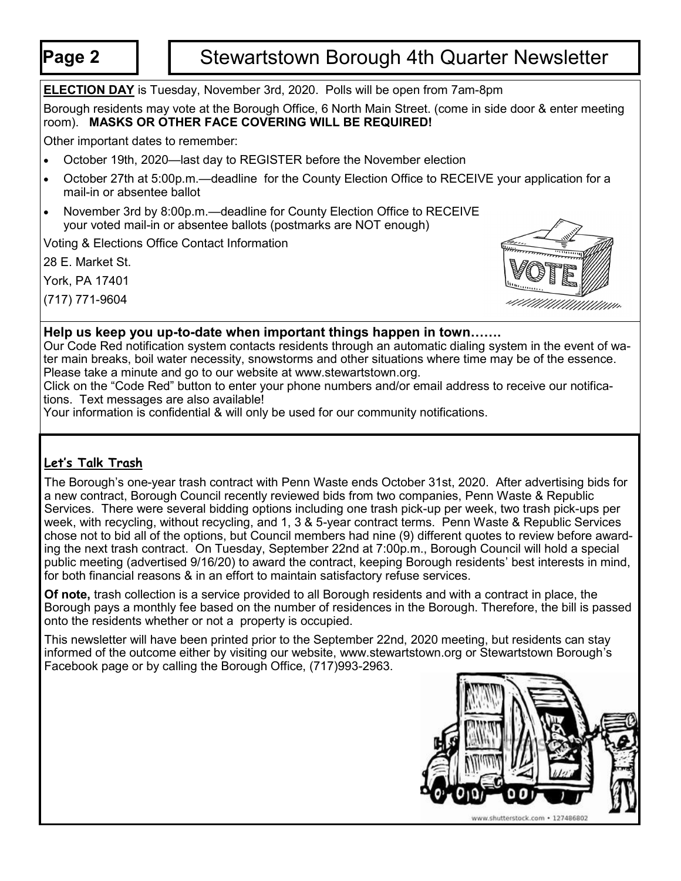### **Page 2** | | Stewartstown Borough 4th Quarter Newsletter

**ELECTION DAY** is Tuesday, November 3rd, 2020. Polls will be open from 7am-8pm

Borough residents may vote at the Borough Office, 6 North Main Street. (come in side door & enter meeting room). **MASKS OR OTHER FACE COVERING WILL BE REQUIRED!** 

Other important dates to remember:

- October 19th, 2020—last day to REGISTER before the November election
- October 27th at 5:00p.m.—deadline for the County Election Office to RECEIVE your application for a mail-in or absentee ballot
- November 3rd by 8:00p.m.—deadline for County Election Office to RECEIVE your voted mail-in or absentee ballots (postmarks are NOT enough)

Voting & Elections Office Contact Information

28 E. Market St.

York, PA 17401

(717) 771-9604



#### **Help us keep you up-to-date when important things happen in town…….**

Our Code Red notification system contacts residents through an automatic dialing system in the event of water main breaks, boil water necessity, snowstorms and other situations where time may be of the essence. Please take a minute and go to our website at www.stewartstown.org.

Click on the "Code Red" button to enter your phone numbers and/or email address to receive our notifications. Text messages are also available!

Your information is confidential & will only be used for our community notifications.

#### **Let's Talk Trash**

The Borough's one-year trash contract with Penn Waste ends October 31st, 2020. After advertising bids for a new contract, Borough Council recently reviewed bids from two companies, Penn Waste & Republic Services. There were several bidding options including one trash pick-up per week, two trash pick-ups per week, with recycling, without recycling, and 1, 3 & 5-year contract terms. Penn Waste & Republic Services chose not to bid all of the options, but Council members had nine (9) different quotes to review before awarding the next trash contract. On Tuesday, September 22nd at 7:00p.m., Borough Council will hold a special public meeting (advertised 9/16/20) to award the contract, keeping Borough residents' best interests in mind, for both financial reasons & in an effort to maintain satisfactory refuse services.

**Of note,** trash collection is a service provided to all Borough residents and with a contract in place, the Borough pays a monthly fee based on the number of residences in the Borough. Therefore, the bill is passed onto the residents whether or not a property is occupied.

This newsletter will have been printed prior to the September 22nd, 2020 meeting, but residents can stay informed of the outcome either by visiting our website, www.stewartstown.org or Stewartstown Borough's Facebook page or by calling the Borough Office, (717)993-2963.

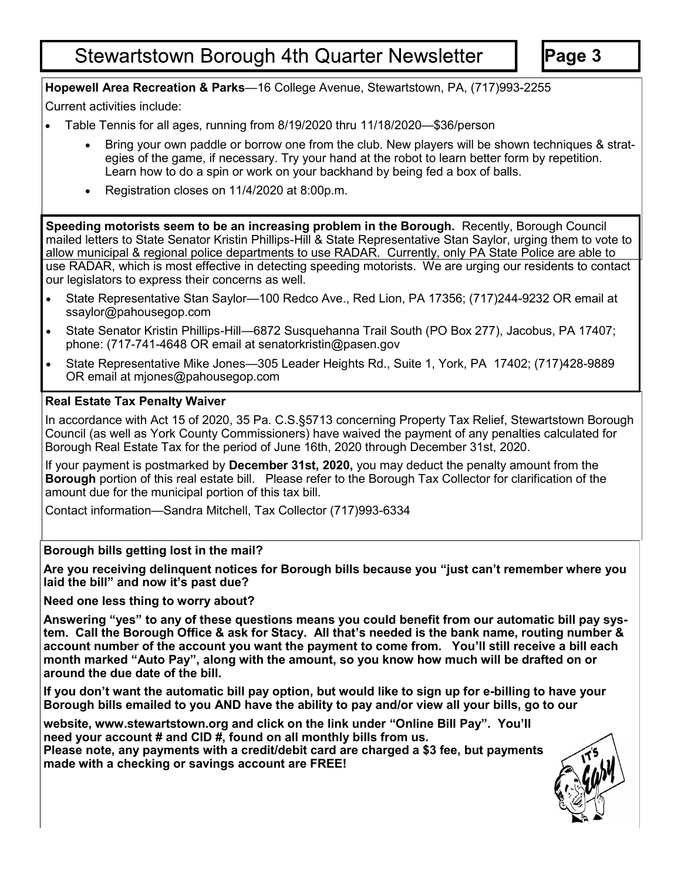### **Stewartstown Borough 4th Quarter Newsletter**

**Page 3**

#### **Hopewell Area Recreation & Parks**—16 College Avenue, Stewartstown, PA, (717)993-2255

Current activities include:

- Table Tennis for all ages, running from 8/19/2020 thru 11/18/2020—\$36/person
	- Bring your own paddle or borrow one from the club. New players will be shown techniques & strategies of the game, if necessary. Try your hand at the robot to learn better form by repetition. Learn how to do a spin or work on your backhand by being fed a box of balls.
	- Registration closes on 11/4/2020 at 8:00p.m.

**Speeding motorists seem to be an increasing problem in the Borough.** Recently, Borough Council mailed letters to State Senator Kristin Phillips-Hill & State Representative Stan Saylor, urging them to vote to allow municipal & regional police departments to use RADAR. Currently, only PA State Police are able to use RADAR, which is most effective in detecting speeding motorists. We are urging our residents to contact our legislators to express their concerns as well.

- State Representative Stan Saylor—100 Redco Ave., Red Lion, PA 17356; (717)244-9232 OR email at ssaylor@pahousegop.com
- State Senator Kristin Phillips-Hill—6872 Susquehanna Trail South (PO Box 277), Jacobus, PA 17407; phone: (717-741-4648 OR email at senatorkristin@pasen.gov
- State Representative Mike Jones—305 Leader Heights Rd., Suite 1, York, PA 17402; (717)428-9889 OR email at mjones@pahousegop.com

#### **Real Estate Tax Penalty Waiver**

In accordance with Act 15 of 2020, 35 Pa. C.S.§5713 concerning Property Tax Relief, Stewartstown Borough Council (as well as York County Commissioners) have waived the payment of any penalties calculated for Borough Real Estate Tax for the period of June 16th, 2020 through December 31st, 2020.

If your payment is postmarked by **December 31st, 2020,** you may deduct the penalty amount from the **Borough** portion of this real estate bill. Please refer to the Borough Tax Collector for clarification of the amount due for the municipal portion of this tax bill.

Contact information—Sandra Mitchell, Tax Collector (717)993-6334

#### **Borough bills getting lost in the mail?**

**Are you receiving delinquent notices for Borough bills because you "just can't remember where you laid the bill" and now it's past due?**

**Need one less thing to worry about?**

**Answering "yes" to any of these questions means you could benefit from our automatic bill pay system. Call the Borough Office & ask for Stacy. All that's needed is the bank name, routing number & account number of the account you want the payment to come from. You'll still receive a bill each month marked "Auto Pay", along with the amount, so you know how much will be drafted on or around the due date of the bill.** 

**If you don't want the automatic bill pay option, but would like to sign up for e-billing to have your Borough bills emailed to you AND have the ability to pay and/or view all your bills, go to our**

**website, www.stewartstown.org and click on the link under "Online Bill Pay". You'll need your account # and CID #, found on all monthly bills from us. Please note, any payments with a credit/debit card are charged a \$3 fee, but payments made with a checking or savings account are FREE!**